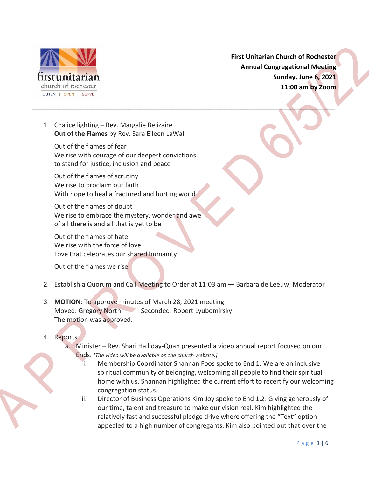

**First Unitarian Church of Rochester Annual Congregational Meeting Sunday, June 6, 2021 11:00 am by Zoom**

1. Chalice lighting – Rev. Margalie Belizaire **Out of the Flames** by Rev. Sara Eileen LaWall

Out of the flames of fear We rise with courage of our deepest convictions to stand for justice, inclusion and peace

Out of the flames of scrutiny We rise to proclaim our faith With hope to heal a fractured and hurting world

Out of the flames of doubt We rise to embrace the mystery, wonder and awe of all there is and all that is yet to be

Out of the flames of hate We rise with the force of love Love that celebrates our shared humanity

Out of the flames we rise

2. Establish a Quorum and Call Meeting to Order at 11:03 am — Barbara de Leeuw, Moderator

\_\_\_\_\_\_\_\_\_\_\_\_\_\_\_\_\_\_\_\_\_\_\_\_\_\_\_\_\_\_\_\_\_\_\_\_\_\_\_\_\_\_\_\_\_\_\_\_\_\_\_\_\_\_\_\_\_\_\_\_\_\_\_\_\_\_\_\_\_\_\_\_\_\_\_\_\_\_\_\_\_\_

- 3. **MOTION**: To approve minutes of March 28, 2021 meeting Moved: Gregory North Seconded: Robert Lyubomirsky The motion was approved.
- 4. Reports
	- a. Minister Rev. Shari Halliday-Quan presented a video annual report focused on our Ends. *[The video will be available on the church website.]*
		- i. Membership Coordinator Shannan Foos spoke to End 1: We are an inclusive spiritual community of belonging, welcoming all people to find their spiritual home with us. Shannan highlighted the current effort to recertify our welcoming congregation status.
		- ii. Director of Business Operations Kim Joy spoke to End 1.2: Giving generously of our time, talent and treasure to make our vision real. Kim highlighted the relatively fast and successful pledge drive where offering the "Text" option appealed to a high number of congregants. Kim also pointed out that over the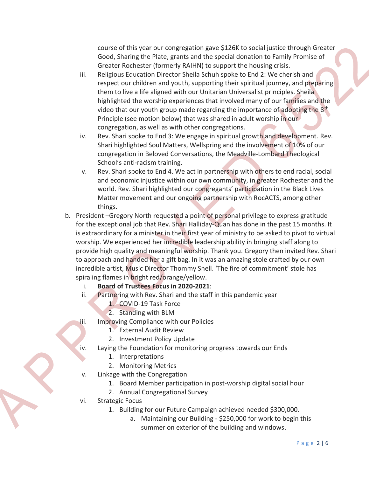course of this year our congregation gave \$126K to social justice through Greater Good, Sharing the Plate, grants and the special donation to Family Promise of Greater Rochester (formerly RAIHN) to support the housing crisis.

- iii. Religious Education Director Sheila Schuh spoke to End 2: We cherish and respect our children and youth, supporting their spiritual journey, and preparing them to live a life aligned with our Unitarian Universalist principles. Sheila highlighted the worship experiences that involved many of our families and the video that our youth group made regarding the importance of adopting the  $8<sup>th</sup>$ Principle (see motion below) that was shared in adult worship in our congregation, as well as with other congregations.
- iv. Rev. Shari spoke to End 3: We engage in spiritual growth and development. Rev. Shari highlighted Soul Matters, Wellspring and the involvement of 10% of our congregation in Beloved Conversations, the Meadville-Lombard Theological School's anti-racism training.
- v. Rev. Shari spoke to End 4. We act in partnership with others to end racial, social and economic injustice within our own community, in greater Rochester and the world. Rev. Shari highlighted our congregants' participation in the Black Lives Matter movement and our ongoing partnership with RocACTS, among other things.
- b. President –Gregory North requested a point of personal privilege to express gratitude for the exceptional job that Rev. Shari Halliday-Quan has done in the past 15 months. It is extraordinary for a minister in their first year of ministry to be asked to pivot to virtual worship. We experienced her incredible leadership ability in bringing staff along to provide high quality and meaningful worship. Thank you. Gregory then invited Rev. Shari to approach and handed her a gift bag. In it was an amazing stole crafted by our own incredible artist, Music Director Thommy Snell. 'The fire of commitment' stole has spiraling flames in bright red/orange/yellow.

i. **Board of Trustees Focus in 2020-2021**:

- ii. Partnering with Rev. Shari and the staff in this pandemic year
	- 1. COVID-19 Task Force
	- 2. Standing with BLM
- iii. Improving Compliance with our Policies
	- 1. External Audit Review
	- 2. Investment Policy Update
- iv. Laying the Foundation for monitoring progress towards our Ends
	- 1. Interpretations
	- 2. Monitoring Metrics
- v. Linkage with the Congregation
	- 1. Board Member participation in post-worship digital social hour
	- 2. Annual Congregational Survey
- vi. Strategic Focus
	- 1. Building for our Future Campaign achieved needed \$300,000.
		- a. Maintaining our Building \$250,000 for work to begin this summer on exterior of the building and windows.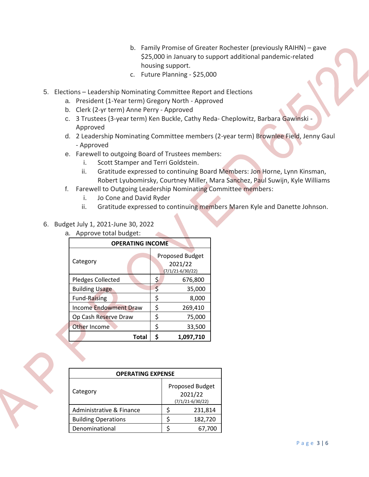- b. Family Promise of Greater Rochester (previously RAIHN) gave \$25,000 in January to support additional pandemic-related housing support.
- c. Future Planning \$25,000
- 5. Elections Leadership Nominating Committee Report and Elections
	- a. President (1-Year term) Gregory North Approved
	- b. Clerk (2-yr term) Anne Perry Approved
	- c. 3 Trustees (3-year term) Ken Buckle, Cathy Reda- Cheplowitz, Barbara Gawinski Approved
	- d. 2 Leadership Nominating Committee members (2-year term) Brownlee Field, Jenny Gaul - Approved
	- e. Farewell to outgoing Board of Trustees members:
		- i. Scott Stamper and Terri Goldstein.
		- ii. Gratitude expressed to continuing Board Members: Jon Horne, Lynn Kinsman, Robert Lyubomirsky, Courtney Miller, Mara Sanchez, Paul Suwijn, Kyle Williams
	- f. Farewell to Outgoing Leadership Nominating Committee members:
		- i. Jo Cone and David Ryder
		- ii. Gratitude expressed to continuing members Maren Kyle and Danette Johnson.
- 6. Budget July 1, 2021-June 30, 2022
	- a. Approve total budget:

| <b>OPERATING INCOME</b>      |    |                                                    |  |  |  |
|------------------------------|----|----------------------------------------------------|--|--|--|
| Category                     |    | Proposed Budget<br>2021/22<br>$(7/1/21 - 6/30/22)$ |  |  |  |
| Pledges Collected            | \$ | 676,800                                            |  |  |  |
| <b>Building Usage</b>        | Ş  | 35,000                                             |  |  |  |
| <b>Fund-Raising</b>          | \$ | 8,000                                              |  |  |  |
| <b>Income Endowment Draw</b> | \$ | 269,410                                            |  |  |  |
| Op Cash Reserve Draw         | \$ | 75,000                                             |  |  |  |
| Other Income                 | \$ | 33,500                                             |  |  |  |
| Total                        | S  | 1,097,710                                          |  |  |  |

| <b>OPERATING EXPENSE</b>   |   |                                                    |  |  |
|----------------------------|---|----------------------------------------------------|--|--|
| Category                   |   | Proposed Budget<br>2021/22<br>$(7/1/21 - 6/30/22)$ |  |  |
| Administrative & Finance   |   | 231,814                                            |  |  |
| <b>Building Operations</b> | ς | 182,720                                            |  |  |
| Denominational             |   | 67.700                                             |  |  |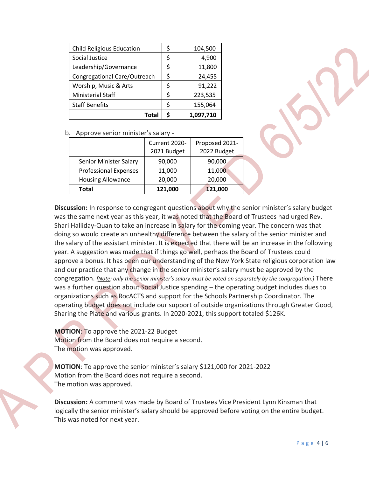| <b>Child Religious Education</b> | \$ | 104,500   |
|----------------------------------|----|-----------|
| Social Justice                   | \$ | 4,900     |
| Leadership/Governance            | \$ | 11,800    |
| Congregational Care/Outreach     | S  | 24,455    |
| Worship, Music & Arts            | \$ | 91,222    |
| <b>Ministerial Staff</b>         | S  | 223,535   |
| <b>Staff Benefits</b>            | ς  | 155,064   |
| Total                            |    | 1,097,710 |

b. Approve senior minister's salary -

|                              | Current 2020-<br>2021 Budget | Proposed 2021-<br>2022 Budget |
|------------------------------|------------------------------|-------------------------------|
| Senior Minister Salary       | 90,000                       | 90,000                        |
| <b>Professional Expenses</b> | 11,000                       | 11,000                        |
| <b>Housing Allowance</b>     | 20,000                       | 20,000                        |
| <b>Total</b>                 | 121,000                      | 121,000                       |

**Discussion:** In response to congregant questions about why the senior minister's salary budget was the same next year as this year, it was noted that the Board of Trustees had urged Rev. Shari Halliday-Quan to take an increase in salary for the coming year. The concern was that doing so would create an unhealthy difference between the salary of the senior minister and the salary of the assistant minister. It is expected that there will be an increase in the following year. A suggestion was made that if things go well, perhaps the Board of Trustees could approve a bonus. It has been our understanding of the New York State religious corporation law and our practice that any change in the senior minister's salary must be approved by the congregation. *[Note: only the senior minister's salary must be voted on separately by the congregation.]* There was a further question about Social Justice spending – the operating budget includes dues to organizations such as RocACTS and support for the Schools Partnership Coordinator. The operating budget does not include our support of outside organizations through Greater Good, Sharing the Plate and various grants. In 2020-2021, this support totaled \$126K.

**MOTION**: To approve the 2021-22 Budget Motion from the Board does not require a second. The motion was approved.

**MOTION**: To approve the senior minister's salary \$121,000 for 2021-2022 Motion from the Board does not require a second. The motion was approved.

**Discussion:** A comment was made by Board of Trustees Vice President Lynn Kinsman that logically the senior minister's salary should be approved before voting on the entire budget. This was noted for next year.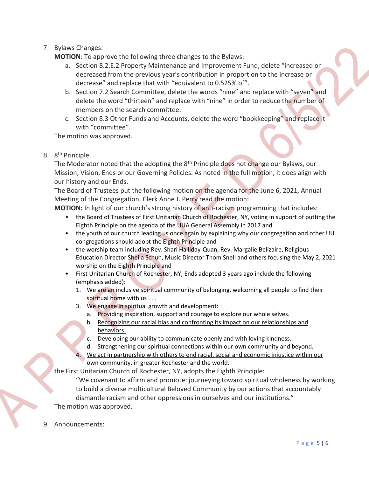7. Bylaws Changes:

**MOTION**: To approve the following three changes to the Bylaws:

- a. Section 8.2.E.2 Property Maintenance and Improvement Fund, delete "increased or decreased from the previous year's contribution in proportion to the increase or decrease" and replace that with "equivalent to 0.525% of".
- b. Section 7.2 Search Committee, delete the words "nine" and replace with "seven" and delete the word "thirteen" and replace with "nine" in order to reduce the number of members on the search committee.
- c. Section 8.3 Other Funds and Accounts, delete the word "bookkeeping" and replace it with "committee".

The motion was approved.

8. 8<sup>th</sup> Principle.

The Moderator noted that the adopting the 8<sup>th</sup> Principle does not change our Bylaws, our Mission, Vision, Ends or our Governing Policies. As noted in the full motion, it does align with our history and our Ends.

The Board of Trustees put the following motion on the agenda for the June 6, 2021, Annual Meeting of the Congregation. Clerk Anne J. Perry read the motion:

**MOTION:** In light of our church's strong history of anti-racism programming that includes:

- the Board of Trustees of First Unitarian Church of Rochester, NY, voting in support of putting the Eighth Principle on the agenda of the UUA General Assembly in 2017 and
- the youth of our church leading us once again by explaining why our congregation and other UU congregations should adopt the Eighth Principle and
- the worship team including Rev. Shari Halliday-Quan, Rev. Margalie Belizaire, Religious Education Director Sheila Schuh, Music Director Thom Snell and others focusing the May 2, 2021 worship on the Eighth Principle and
- First Unitarian Church of Rochester, NY, Ends adopted 3 years ago include the following (emphasis added):
	- 1. We are an inclusive spiritual community of belonging, welcoming all people to find their spiritual home with us . . .
	- 3. We engage in spiritual growth and development:
		- a. Providing inspiration, support and courage to explore our whole selves.
		- b. Recognizing our racial bias and confronting its impact on our relationships and behaviors.
		- c. Developing our ability to communicate openly and with loving kindness.
		- d. Strengthening our spiritual connections within our own community and beyond.
	- We act in partnership with others to end racial, social and economic injustice within our own community, in greater Rochester and the world.

the First Unitarian Church of Rochester, NY, adopts the Eighth Principle:

"We covenant to affirm and promote: journeying toward spiritual wholeness by working to build a diverse multicultural Beloved Community by our actions that accountably dismantle racism and other oppressions in ourselves and our institutions." The motion was approved.

9. Announcements: